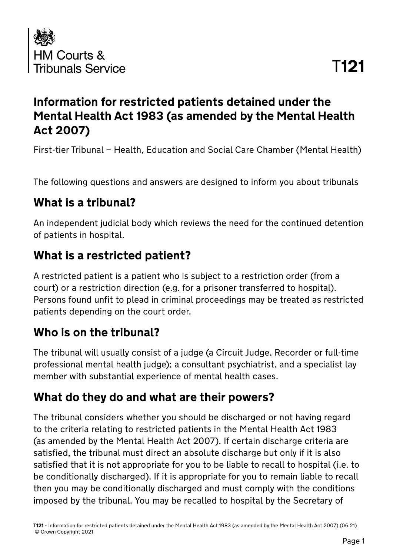

## **Information for restricted patients detained under the Mental Health Act 1983 (as amended by the Mental Health Act 2007)**

First-tier Tribunal – Health, Education and Social Care Chamber (Mental Health)

The following questions and answers are designed to inform you about tribunals

#### **What is a tribunal?**

An independent judicial body which reviews the need for the continued detention of patients in hospital.

## **What is a restricted patient?**

A restricted patient is a patient who is subject to a restriction order (from a court) or a restriction direction (e.g. for a prisoner transferred to hospital). Persons found unfit to plead in criminal proceedings may be treated as restricted patients depending on the court order.

## **Who is on the tribunal?**

The tribunal will usually consist of a judge (a Circuit Judge, Recorder or full-time professional mental health judge); a consultant psychiatrist, and a specialist lay member with substantial experience of mental health cases.

#### **What do they do and what are their powers?**

The tribunal considers whether you should be discharged or not having regard to the criteria relating to restricted patients in the Mental Health Act 1983 (as amended by the Mental Health Act 2007). If certain discharge criteria are satisfied, the tribunal must direct an absolute discharge but only if it is also satisfied that it is not appropriate for you to be liable to recall to hospital (i.e. to be conditionally discharged). If it is appropriate for you to remain liable to recall then you may be conditionally discharged and must comply with the conditions imposed by the tribunal. You may be recalled to hospital by the Secretary of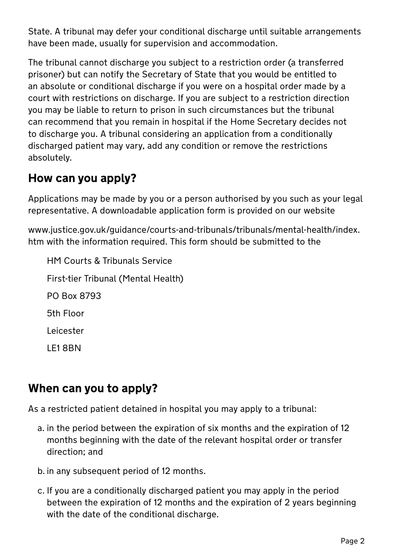State. A tribunal may defer your conditional discharge until suitable arrangements have been made, usually for supervision and accommodation.

The tribunal cannot discharge you subject to a restriction order (a transferred prisoner) but can notify the Secretary of State that you would be entitled to an absolute or conditional discharge if you were on a hospital order made by a court with restrictions on discharge. If you are subject to a restriction direction you may be liable to return to prison in such circumstances but the tribunal can recommend that you remain in hospital if the Home Secretary decides not to discharge you. A tribunal considering an application from a conditionally discharged patient may vary, add any condition or remove the restrictions absolutely.

#### **How can you apply?**

Applications may be made by you or a person authorised by you such as your legal representative. A downloadable application form is provided on our website

www.justice.gov.uk/guidance/courts-and-tribunals/tribunals/mental-health/index. htm with the information required. This form should be submitted to the

HM Courts & Tribunals Service First-tier Tribunal (Mental Health) PO Box 8793 5th Floor Leicester LE1 8BN

#### **When can you to apply?**

As a restricted patient detained in hospital you may apply to a tribunal:

- a. in the period between the expiration of six months and the expiration of 12 months beginning with the date of the relevant hospital order or transfer direction; and
- b. in any subsequent period of 12 months.
- c. If you are a conditionally discharged patient you may apply in the period between the expiration of 12 months and the expiration of 2 years beginning with the date of the conditional discharge.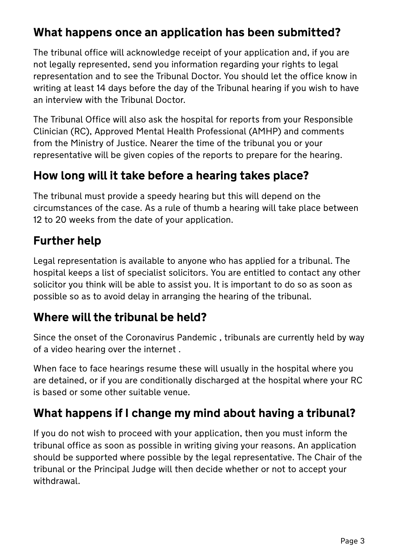## **What happens once an application has been submitted?**

The tribunal office will acknowledge receipt of your application and, if you are not legally represented, send you information regarding your rights to legal representation and to see the Tribunal Doctor. You should let the office know in writing at least 14 days before the day of the Tribunal hearing if you wish to have an interview with the Tribunal Doctor.

The Tribunal Office will also ask the hospital for reports from your Responsible Clinician (RC), Approved Mental Health Professional (AMHP) and comments from the Ministry of Justice. Nearer the time of the tribunal you or your representative will be given copies of the reports to prepare for the hearing.

## **How long will it take before a hearing takes place?**

The tribunal must provide a speedy hearing but this will depend on the circumstances of the case. As a rule of thumb a hearing will take place between 12 to 20 weeks from the date of your application.

# **Further help**

Legal representation is available to anyone who has applied for a tribunal. The hospital keeps a list of specialist solicitors. You are entitled to contact any other solicitor you think will be able to assist you. It is important to do so as soon as possible so as to avoid delay in arranging the hearing of the tribunal.

#### **Where will the tribunal be held?**

Since the onset of the Coronavirus Pandemic , tribunals are currently held by way of a video hearing over the internet .

When face to face hearings resume these will usually in the hospital where you are detained, or if you are conditionally discharged at the hospital where your RC is based or some other suitable venue.

## **What happens if I change my mind about having a tribunal?**

If you do not wish to proceed with your application, then you must inform the tribunal office as soon as possible in writing giving your reasons. An application should be supported where possible by the legal representative. The Chair of the tribunal or the Principal Judge will then decide whether or not to accept your withdrawal.